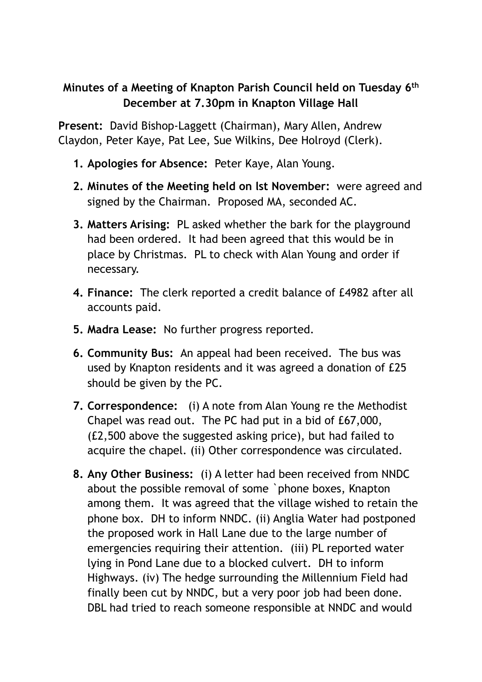## **Minutes of a Meeting of Knapton Parish Council held on Tuesday 6th December at 7.30pm in Knapton Village Hall**

**Present:** David Bishop-Laggett (Chairman), Mary Allen, Andrew Claydon, Peter Kaye, Pat Lee, Sue Wilkins, Dee Holroyd (Clerk).

- **1. Apologies for Absence:** Peter Kaye, Alan Young.
- **2. Minutes of the Meeting held on lst November:** were agreed and signed by the Chairman. Proposed MA, seconded AC.
- **3. Matters Arising:** PL asked whether the bark for the playground had been ordered. It had been agreed that this would be in place by Christmas. PL to check with Alan Young and order if necessary.
- **4. Finance:** The clerk reported a credit balance of £4982 after all accounts paid.
- **5. Madra Lease:** No further progress reported.
- **6. Community Bus:** An appeal had been received. The bus was used by Knapton residents and it was agreed a donation of £25 should be given by the PC.
- **7. Correspondence:** (i) A note from Alan Young re the Methodist Chapel was read out. The PC had put in a bid of £67,000, (£2,500 above the suggested asking price), but had failed to acquire the chapel. (ii) Other correspondence was circulated.
- **8. Any Other Business:** (i) A letter had been received from NNDC about the possible removal of some `phone boxes, Knapton among them. It was agreed that the village wished to retain the phone box. DH to inform NNDC. (ii) Anglia Water had postponed the proposed work in Hall Lane due to the large number of emergencies requiring their attention. (iii) PL reported water lying in Pond Lane due to a blocked culvert. DH to inform Highways. (iv) The hedge surrounding the Millennium Field had finally been cut by NNDC, but a very poor job had been done. DBL had tried to reach someone responsible at NNDC and would